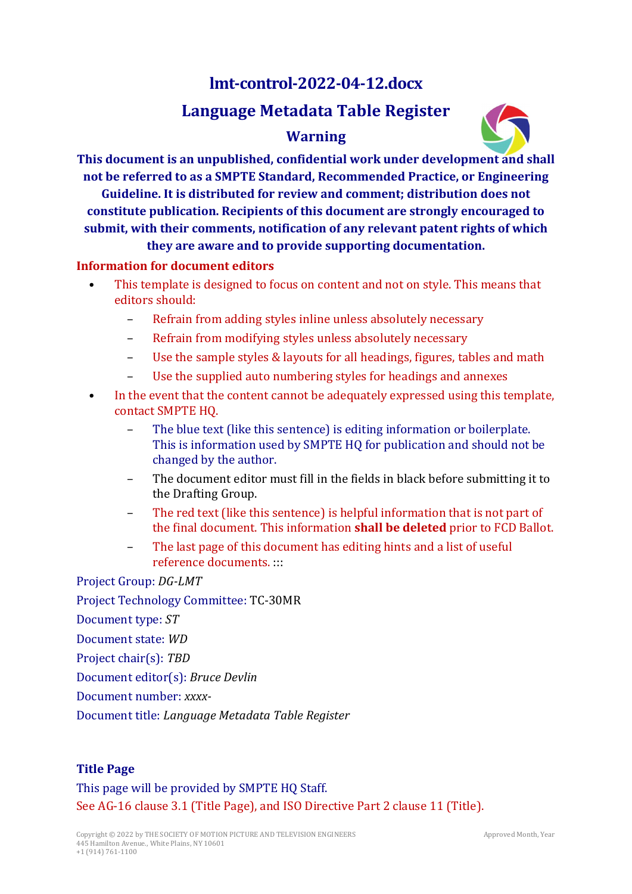# lmt-control-2022-04-12.docx

# Language Metadata Table Register

## Warning



This document is an unpublished, confidential work under development and shall not be referred to as a SMPTE Standard, Recommended Practice, or Engineering Guideline. It is distributed for review and comment; distribution does not constitute publication. Recipients of this document are strongly encouraged to submit, with their comments, notification of any relevant patent rights of which they are aware and to provide supporting documentation.

#### Information for document editors

- This template is designed to focus on content and not on style. This means that editors should:
	- Refrain from adding styles inline unless absolutely necessary
	- Refrain from modifying styles unless absolutely necessary
	- Use the sample styles & layouts for all headings, figures, tables and math
	- Use the supplied auto numbering styles for headings and annexes
- In the event that the content cannot be adequately expressed using this template, contact SMPTE HQ.
	- The blue text (like this sentence) is editing information or boilerplate. This is information used by SMPTE HQ for publication and should not be changed by the author.
	- The document editor must fill in the fields in black before submitting it to the Drafting Group.
	- The red text (like this sentence) is helpful information that is not part of the final document. This information shall be deleted prior to FCD Ballot.
	- The last page of this document has editing hints and a list of useful reference documents. :::

Project Group: DG-LMT

Project Technology Committee: TC-30MR Document type: ST Document state: WD Project chair(s): TBD Document editor(s): Bruce Devlin Document number: xxxx-Document title: Language Metadata Table Register

### Title Page

This page will be provided by SMPTE HO Staff. See AG-16 clause 3.1 (Title Page), and ISO Directive Part 2 clause 11 (Title).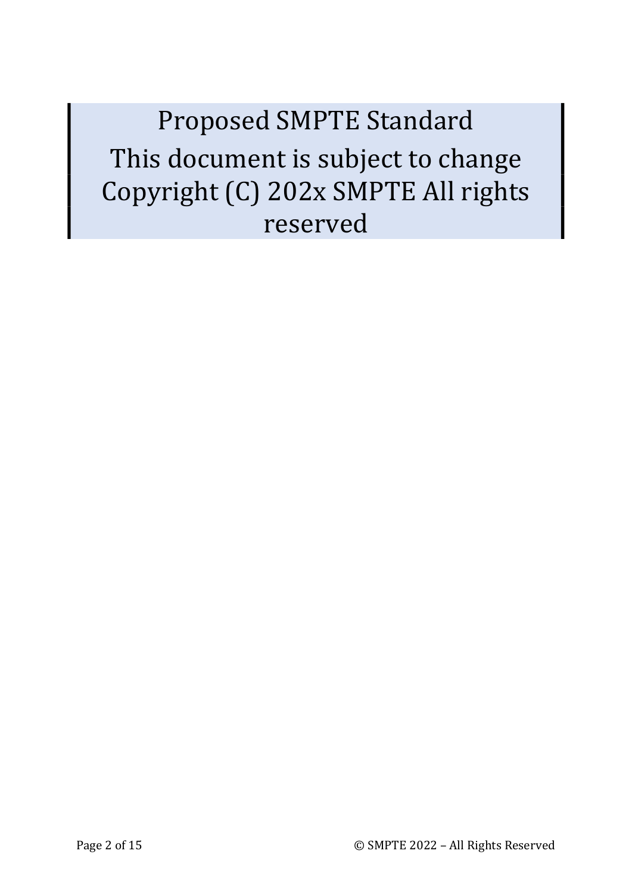Proposed SMPTE Standard This document is subject to change Copyright (C) 202x SMPTE All rights reserved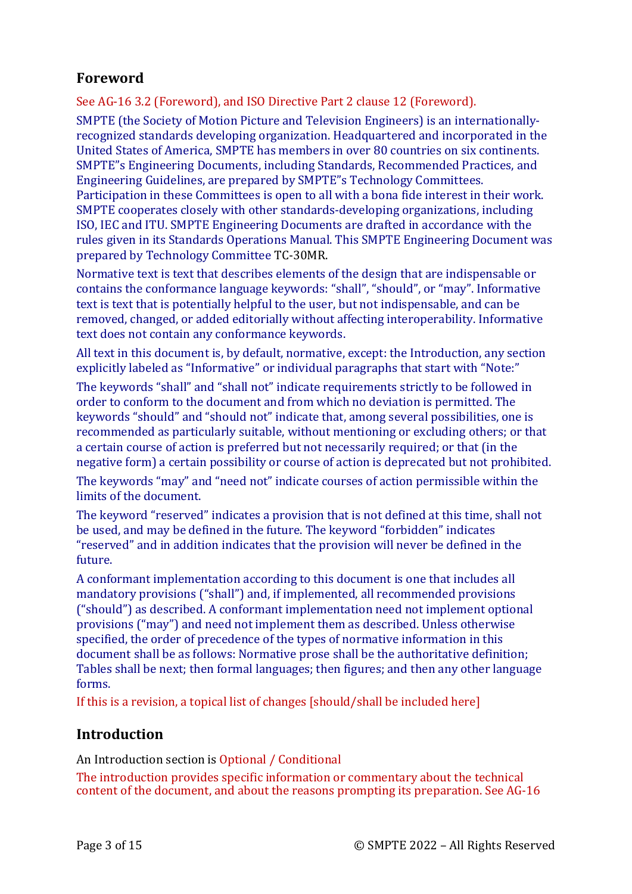# Foreword

See AG-16 3.2 (Foreword), and ISO Directive Part 2 clause 12 (Foreword).

SMPTE (the Society of Motion Picture and Television Engineers) is an internationallyrecognized standards developing organization. Headquartered and incorporated in the United States of America, SMPTE has members in over 80 countries on six continents. SMPTE"s Engineering Documents, including Standards, Recommended Practices, and Engineering Guidelines, are prepared by SMPTE"s Technology Committees. Participation in these Committees is open to all with a bona fide interest in their work. SMPTE cooperates closely with other standards-developing organizations, including ISO, IEC and ITU. SMPTE Engineering Documents are drafted in accordance with the rules given in its Standards Operations Manual. This SMPTE Engineering Document was prepared by Technology Committee TC-30MR.

Normative text is text that describes elements of the design that are indispensable or contains the conformance language keywords: "shall", "should", or "may". Informative text is text that is potentially helpful to the user, but not indispensable, and can be removed, changed, or added editorially without affecting interoperability. Informative text does not contain any conformance keywords.

All text in this document is, by default, normative, except: the Introduction, any section explicitly labeled as "Informative" or individual paragraphs that start with "Note:"

The keywords "shall" and "shall not" indicate requirements strictly to be followed in order to conform to the document and from which no deviation is permitted. The keywords "should" and "should not" indicate that, among several possibilities, one is recommended as particularly suitable, without mentioning or excluding others; or that a certain course of action is preferred but not necessarily required; or that (in the negative form) a certain possibility or course of action is deprecated but not prohibited.

The keywords "may" and "need not" indicate courses of action permissible within the limits of the document.

The keyword "reserved" indicates a provision that is not defined at this time, shall not be used, and may be defined in the future. The keyword "forbidden" indicates "reserved" and in addition indicates that the provision will never be defined in the future.

A conformant implementation according to this document is one that includes all mandatory provisions ("shall") and, if implemented, all recommended provisions ("should") as described. A conformant implementation need not implement optional provisions ("may") and need not implement them as described. Unless otherwise specified, the order of precedence of the types of normative information in this document shall be as follows: Normative prose shall be the authoritative definition; Tables shall be next; then formal languages; then figures; and then any other language forms.

If this is a revision, a topical list of changes [should/shall be included here]

## Introduction

An Introduction section is Optional / Conditional

The introduction provides specific information or commentary about the technical content of the document, and about the reasons prompting its preparation. See AG-16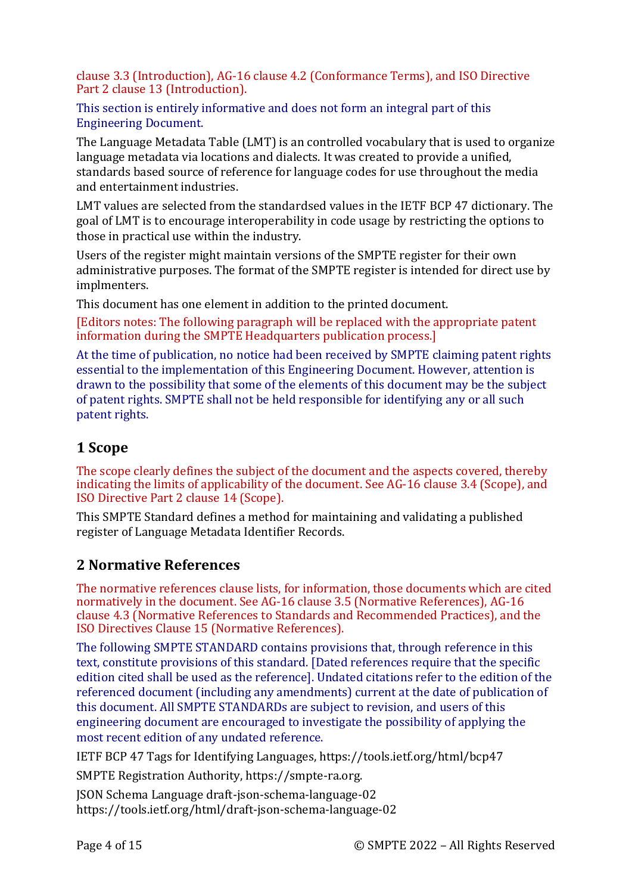clause 3.3 (Introduction), AG-16 clause 4.2 (Conformance Terms), and ISO Directive Part 2 clause 13 (Introduction).

This section is entirely informative and does not form an integral part of this Engineering Document.

The Language Metadata Table (LMT) is an controlled vocabulary that is used to organize language metadata via locations and dialects. It was created to provide a unified, standards based source of reference for language codes for use throughout the media and entertainment industries.

LMT values are selected from the standardsed values in the IETF BCP 47 dictionary. The goal of LMT is to encourage interoperability in code usage by restricting the options to those in practical use within the industry.

Users of the register might maintain versions of the SMPTE register for their own administrative purposes. The format of the SMPTE register is intended for direct use by implmenters.

This document has one element in addition to the printed document.

[Editors notes: The following paragraph will be replaced with the appropriate patent information during the SMPTE Headquarters publication process.]

At the time of publication, no notice had been received by SMPTE claiming patent rights essential to the implementation of this Engineering Document. However, attention is drawn to the possibility that some of the elements of this document may be the subject of patent rights. SMPTE shall not be held responsible for identifying any or all such patent rights.

## 1 Scope

The scope clearly defines the subject of the document and the aspects covered, thereby indicating the limits of applicability of the document. See AG-16 clause 3.4 (Scope), and ISO Directive Part 2 clause 14 (Scope).

This SMPTE Standard defines a method for maintaining and validating a published register of Language Metadata Identifier Records.

## 2 Normative References

The normative references clause lists, for information, those documents which are cited normatively in the document. See AG-16 clause 3.5 (Normative References), AG-16 clause 4.3 (Normative References to Standards and Recommended Practices), and the ISO Directives Clause 15 (Normative References).

The following SMPTE STANDARD contains provisions that, through reference in this text, constitute provisions of this standard. [Dated references require that the specific edition cited shall be used as the reference]. Undated citations refer to the edition of the referenced document (including any amendments) current at the date of publication of this document. All SMPTE STANDARDs are subject to revision, and users of this engineering document are encouraged to investigate the possibility of applying the most recent edition of any undated reference.

IETF BCP 47 Tags for Identifying Languages, https://tools.ietf.org/html/bcp47

SMPTE Registration Authority, https://smpte-ra.org.

JSON Schema Language draft-json-schema-language-02 https://tools.ietf.org/html/draft-json-schema-language-02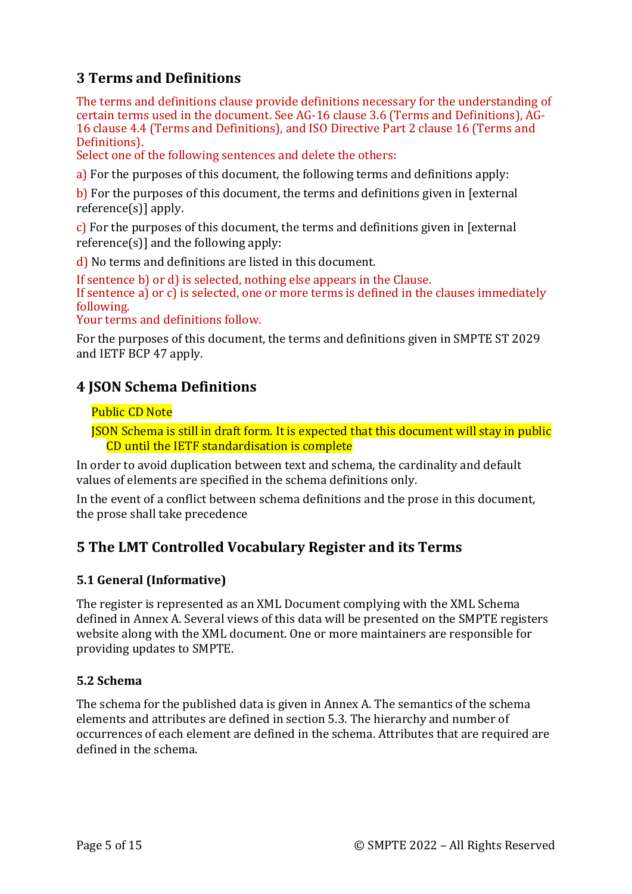## 3 Terms and Definitions

The terms and definitions clause provide definitions necessary for the understanding of certain terms used in the document. See AG-16 clause 3.6 (Terms and Definitions), AG-16 clause 4.4 (Terms and Definitions), and ISO Directive Part 2 clause 16 (Terms and Definitions).

Select one of the following sentences and delete the others:

a) For the purposes of this document, the following terms and definitions apply:

b) For the purposes of this document, the terms and definitions given in [external reference(s)] apply.

c) For the purposes of this document, the terms and definitions given in [external reference(s)] and the following apply:

d) No terms and definitions are listed in this document.

If sentence b) or d) is selected, nothing else appears in the Clause. If sentence a) or c) is selected, one or more terms is defined in the clauses immediately following.

Your terms and definitions follow.

For the purposes of this document, the terms and definitions given in SMPTE ST 2029 and IETF BCP 47 apply.

### 4 JSON Schema Definitions

#### Public CD Note

JSON Schema is still in draft form. It is expected that this document will stay in public CD until the IETF standardisation is complete

In order to avoid duplication between text and schema, the cardinality and default values of elements are specified in the schema definitions only.

In the event of a conflict between schema definitions and the prose in this document, the prose shall take precedence

## 5 The LMT Controlled Vocabulary Register and its Terms

#### 5.1 General (Informative)

The register is represented as an XML Document complying with the XML Schema defined in Annex A. Several views of this data will be presented on the SMPTE registers website along with the XML document. One or more maintainers are responsible for providing updates to SMPTE.

#### 5.2 Schema

The schema for the published data is given in Annex A. The semantics of the schema elements and attributes are defined in section 5.3. The hierarchy and number of occurrences of each element are defined in the schema. Attributes that are required are defined in the schema.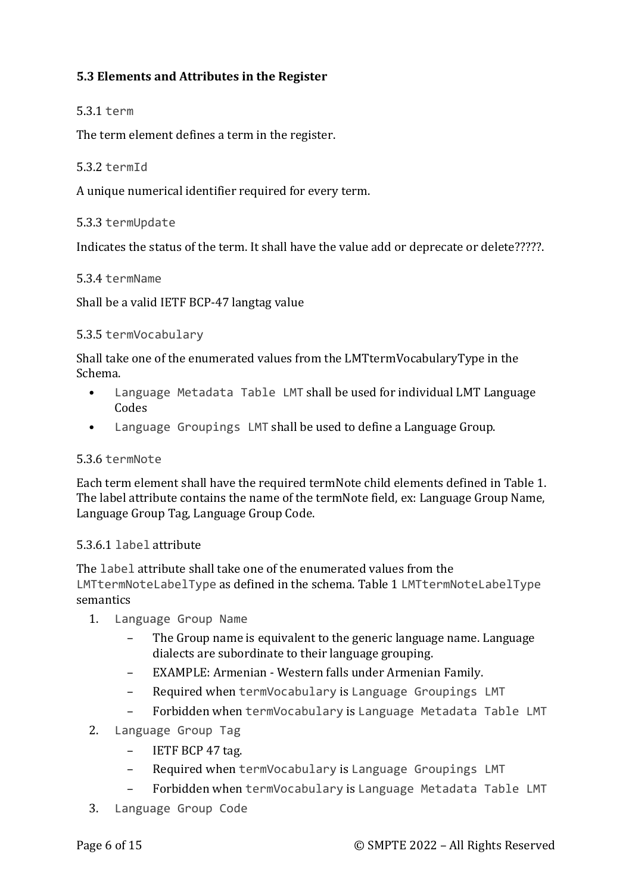### 5.3 Elements and Attributes in the Register

#### 5.3.1 term

The term element defines a term in the register.

#### 5.3.2 termId

A unique numerical identifier required for every term.

#### 5.3.3 termUpdate

Indicates the status of the term. It shall have the value add or deprecate or delete?????.

#### 5.3.4 termName

Shall be a valid IETF BCP-47 langtag value

#### 5.3.5 termVocabulary

Shall take one of the enumerated values from the LMTtermVocabularyType in the Schema.

- Language Metadata Table LMT shall be used for individual LMT Language Codes
- Language Groupings LMT shall be used to define a Language Group.

#### 5.3.6 termNote

Each term element shall have the required termNote child elements defined in Table 1. The label attribute contains the name of the termNote field, ex: Language Group Name, Language Group Tag, Language Group Code.

#### 5.3.6.1 label attribute

The label attribute shall take one of the enumerated values from the LMTtermNoteLabelType as defined in the schema. Table 1 LMTtermNoteLabelType semantics

- 1. Language Group Name
	- The Group name is equivalent to the generic language name. Language dialects are subordinate to their language grouping.
	- EXAMPLE: Armenian Western falls under Armenian Family.
	- Required when termVocabulary is Language Groupings LMT
	- Forbidden when termVocabulary is Language Metadata Table LMT
- 2. Language Group Tag
	- IETF BCP 47 tag.
	- Required when termVocabulary is Language Groupings LMT
	- Forbidden when termVocabulary is Language Metadata Table LMT
- 3. Language Group Code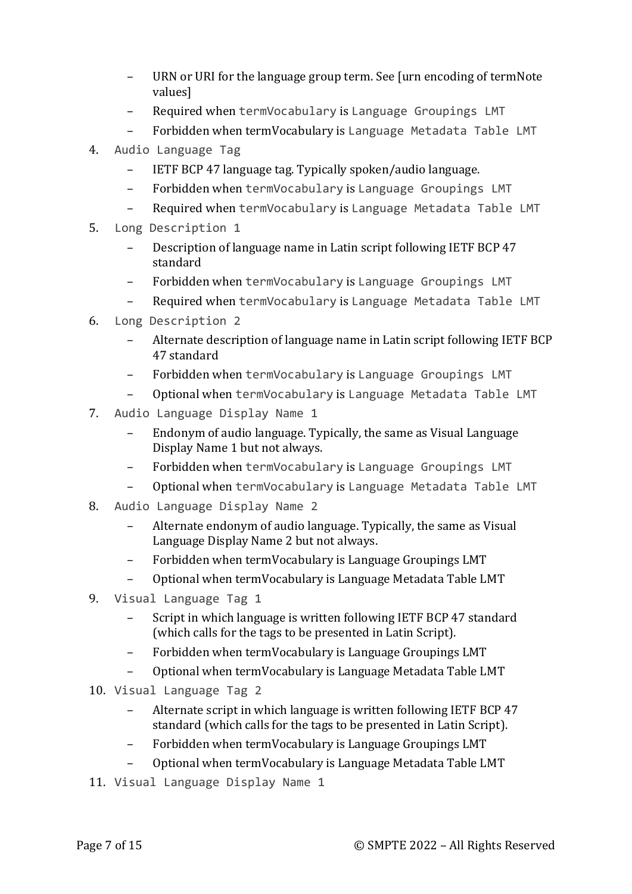- URN or URI for the language group term. See [urn encoding of termNote values]
- Required when termVocabulary is Language Groupings LMT
- Forbidden when termVocabulary is Language Metadata Table LMT
- 4. Audio Language Tag
	- IETF BCP 47 language tag. Typically spoken/audio language.
	- Forbidden when termVocabulary is Language Groupings LMT
	- Required when termVocabulary is Language Metadata Table LMT
- 5. Long Description 1
	- Description of language name in Latin script following IETF BCP 47 standard
	- Forbidden when termVocabulary is Language Groupings LMT
	- Required when termVocabulary is Language Metadata Table LMT
- 6. Long Description 2
	- Alternate description of language name in Latin script following IETF BCP 47 standard
	- Forbidden when termVocabulary is Language Groupings LMT
	- Optional when termVocabulary is Language Metadata Table LMT
- 7. Audio Language Display Name 1
	- Endonym of audio language. Typically, the same as Visual Language Display Name 1 but not always.
	- Forbidden when termVocabulary is Language Groupings LMT
	- Optional when termVocabulary is Language Metadata Table LMT
- 8. Audio Language Display Name 2
	- Alternate endonym of audio language. Typically, the same as Visual Language Display Name 2 but not always.
	- Forbidden when termVocabulary is Language Groupings LMT
	- Optional when termVocabulary is Language Metadata Table LMT
- 9. Visual Language Tag 1
	- Script in which language is written following IETF BCP 47 standard (which calls for the tags to be presented in Latin Script).
	- Forbidden when termVocabulary is Language Groupings LMT
	- Optional when termVocabulary is Language Metadata Table LMT
- 10. Visual Language Tag 2
	- Alternate script in which language is written following IETF BCP 47 standard (which calls for the tags to be presented in Latin Script).
	- Forbidden when termVocabulary is Language Groupings LMT
	- Optional when termVocabulary is Language Metadata Table LMT
- 11. Visual Language Display Name 1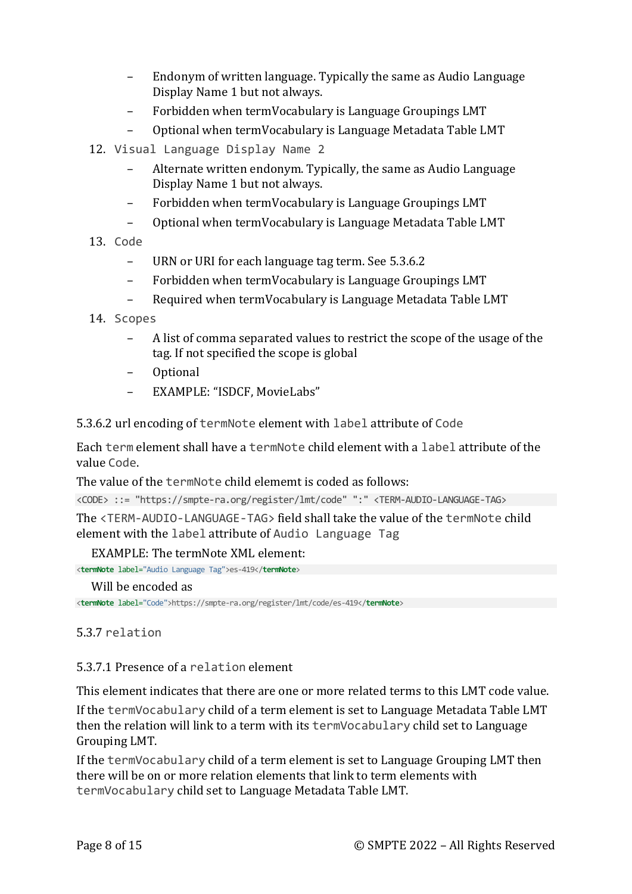- Endonym of written language. Typically the same as Audio Language Display Name 1 but not always.
- Forbidden when termVocabulary is Language Groupings LMT
- Optional when termVocabulary is Language Metadata Table LMT
- 12. Visual Language Display Name 2
	- Alternate written endonym. Typically, the same as Audio Language Display Name 1 but not always.
	- Forbidden when termVocabulary is Language Groupings LMT
	- Optional when termVocabulary is Language Metadata Table LMT
- 13. Code
	- URN or URI for each language tag term. See 5.3.6.2
	- Forbidden when termVocabulary is Language Groupings LMT
	- Required when termVocabulary is Language Metadata Table LMT
- 14. Scopes
	- A list of comma separated values to restrict the scope of the usage of the tag. If not specified the scope is global
	- Optional
	- EXAMPLE: "ISDCF, MovieLabs"

5.3.6.2 url encoding of termNote element with label attribute of Code

Each term element shall have a termNote child element with a label attribute of the value Code.

The value of the termNote child elememt is coded as follows:

```
<CODE> ::= "https://smpte-ra.org/register/lmt/code" ":" <TERM-AUDIO-LANGUAGE-TAG>
The <TERM-AUDIO-LANGUAGE-TAG> field shall take the value of the termNote child 
element with the label attribute of Audio Language Tag
```
EXAMPLE: The termNote XML element:

<termNote label="Audio Language Tag">es-419</termNote>

#### Will be encoded as

<termNote label="Code">https://smpte-ra.org/register/lmt/code/es-419</termNote>

5.3.7 relation

### 5.3.7.1 Presence of a relation element

This element indicates that there are one or more related terms to this LMT code value.

If the termVocabulary child of a term element is set to Language Metadata Table LMT then the relation will link to a term with its termVocabulary child set to Language Grouping LMT.

If the termVocabulary child of a term element is set to Language Grouping LMT then there will be on or more relation elements that link to term elements with termVocabulary child set to Language Metadata Table LMT.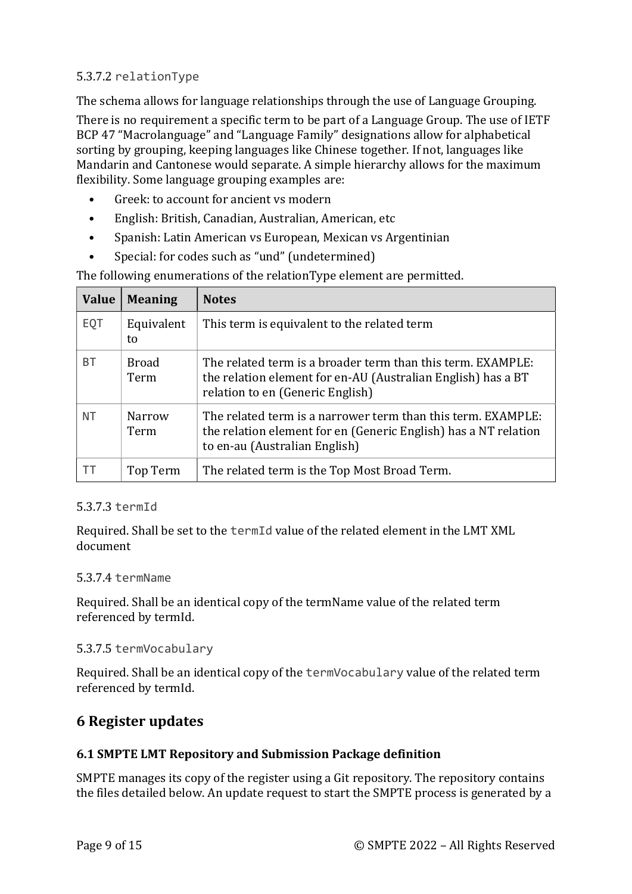## 5.3.7.2 relationType

The schema allows for language relationships through the use of Language Grouping.

There is no requirement a specific term to be part of a Language Group. The use of IETF BCP 47 "Macrolanguage" and "Language Family" designations allow for alphabetical sorting by grouping, keeping languages like Chinese together. If not, languages like Mandarin and Cantonese would separate. A simple hierarchy allows for the maximum flexibility. Some language grouping examples are:

- Greek: to account for ancient vs modern
- English: British, Canadian, Australian, American, etc
- Spanish: Latin American vs European, Mexican vs Argentinian
- Special: for codes such as "und" (undetermined)

The following enumerations of the relationType element are permitted.

| <b>Value</b> | <b>Meaning</b>       | <b>Notes</b>                                                                                                                                                     |
|--------------|----------------------|------------------------------------------------------------------------------------------------------------------------------------------------------------------|
| EQT          | Equivalent<br>to     | This term is equivalent to the related term                                                                                                                      |
| ВT           | <b>Broad</b><br>Term | The related term is a broader term than this term. EXAMPLE:<br>the relation element for en-AU (Australian English) has a BT<br>relation to en (Generic English)  |
| <b>NT</b>    | Narrow<br>Term       | The related term is a narrower term than this term. EXAMPLE:<br>the relation element for en (Generic English) has a NT relation<br>to en-au (Australian English) |
| ТT           | Top Term             | The related term is the Top Most Broad Term.                                                                                                                     |

#### 5.3.7.3 termId

Required. Shall be set to the termId value of the related element in the LMT XML document

#### 5.3.7.4 termName

Required. Shall be an identical copy of the termName value of the related term referenced by termId.

#### 5.3.7.5 termVocabulary

Required. Shall be an identical copy of the termVocabulary value of the related term referenced by termId.

## 6 Register updates

#### 6.1 SMPTE LMT Repository and Submission Package definition

SMPTE manages its copy of the register using a Git repository. The repository contains the files detailed below. An update request to start the SMPTE process is generated by a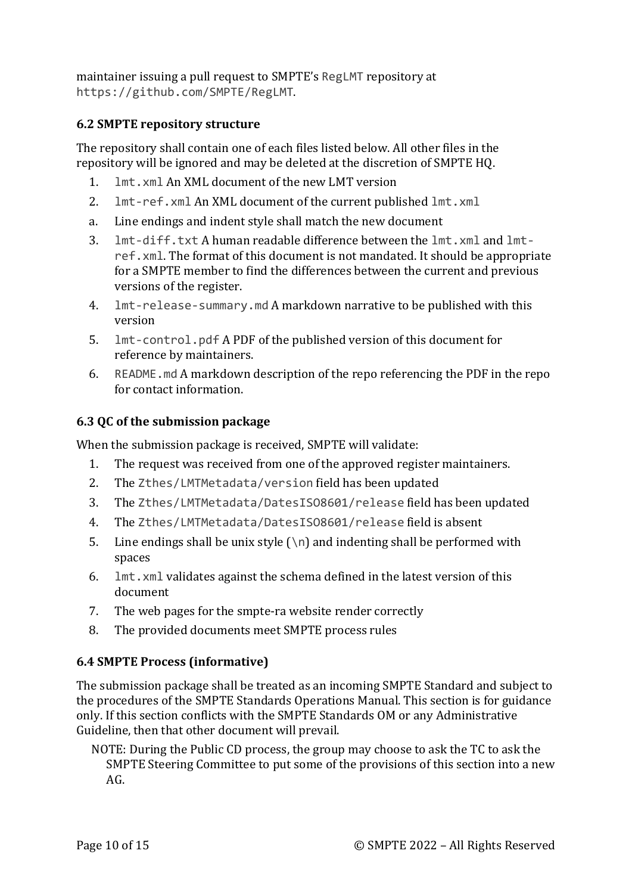maintainer issuing a pull request to SMPTE's RegLMT repository at https://github.com/SMPTE/RegLMT.

## 6.2 SMPTE repository structure

The repository shall contain one of each files listed below. All other files in the repository will be ignored and may be deleted at the discretion of SMPTE HQ.

- 1. lmt.xml An XML document of the new LMT version
- 2. lmt-ref.xml An XML document of the current published lmt.xml
- a. Line endings and indent style shall match the new document
- 3. lmt-diff.txt A human readable difference between the lmt.xml and lmtref.xml. The format of this document is not mandated. It should be appropriate for a SMPTE member to find the differences between the current and previous versions of the register.
- 4. lmt-release-summary.md A markdown narrative to be published with this version
- 5. lmt-control.pdf A PDF of the published version of this document for reference by maintainers.
- 6. README.md A markdown description of the repo referencing the PDF in the repo for contact information.

### 6.3 QC of the submission package

When the submission package is received, SMPTE will validate:

- 1. The request was received from one of the approved register maintainers.
- 2. The Zthes/LMTMetadata/version field has been updated
- 3. The Zthes/LMTMetadata/DatesISO8601/release field has been updated
- 4. The Zthes/LMTMetadata/DatesISO8601/release field is absent
- 5. Line endings shall be unix style  $(\nabla \cdot \mathbf{n})$  and indenting shall be performed with spaces
- 6. lmt.xml validates against the schema defined in the latest version of this document
- 7. The web pages for the smpte-ra website render correctly
- 8. The provided documents meet SMPTE process rules

### 6.4 SMPTE Process (informative)

The submission package shall be treated as an incoming SMPTE Standard and subject to the procedures of the SMPTE Standards Operations Manual. This section is for guidance only. If this section conflicts with the SMPTE Standards OM or any Administrative Guideline, then that other document will prevail.

NOTE: During the Public CD process, the group may choose to ask the TC to ask the SMPTE Steering Committee to put some of the provisions of this section into a new AG.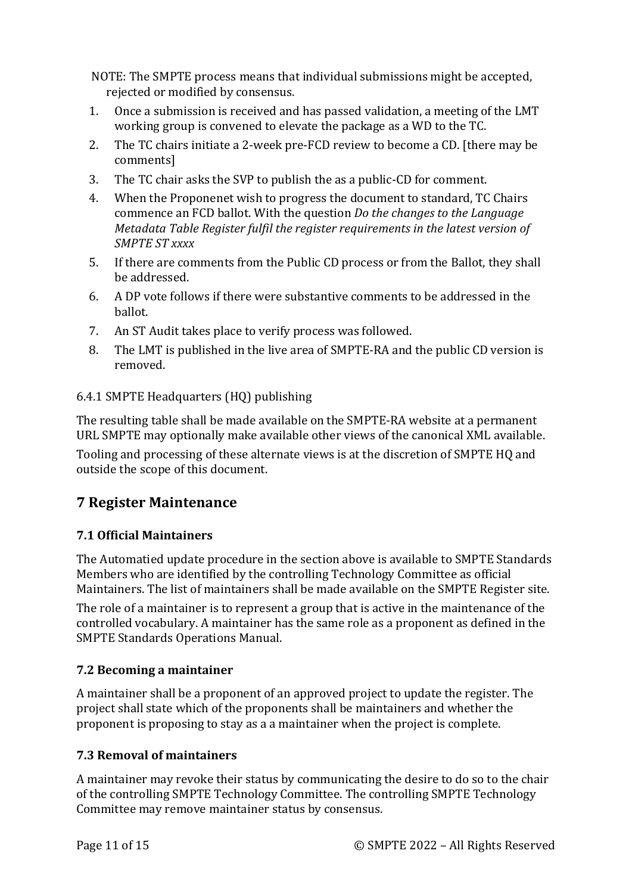NOTE: The SMPTE process means that individual submissions might be accepted, rejected or modified by consensus.

- 1. Once a submission is received and has passed validation, a meeting of the LMT working group is convened to elevate the package as a WD to the TC.
- 2. The TC chairs initiate a 2-week pre-FCD review to become a CD. [there may be comments]
- 3. The TC chair asks the SVP to publish the as a public-CD for comment.
- 4. When the Proponenet wish to progress the document to standard, TC Chairs commence an FCD ballot. With the question Do the changes to the Language Metadata Table Register fulfil the register requirements in the latest version of SMPTE ST xxxx
- 5. If there are comments from the Public CD process or from the Ballot, they shall be addressed.
- 6. A DP vote follows if there were substantive comments to be addressed in the ballot.
- 7. An ST Audit takes place to verify process was followed.
- 8. The LMT is published in the live area of SMPTE-RA and the public CD version is removed.

### 6.4.1 SMPTE Headquarters (HQ) publishing

The resulting table shall be made available on the SMPTE-RA website at a permanent URL SMPTE may optionally make available other views of the canonical XML available.

Tooling and processing of these alternate views is at the discretion of SMPTE HQ and outside the scope of this document.

## 7 Register Maintenance

#### 7.1 Official Maintainers

The Automatied update procedure in the section above is available to SMPTE Standards Members who are identified by the controlling Technology Committee as official Maintainers. The list of maintainers shall be made available on the SMPTE Register site.

The role of a maintainer is to represent a group that is active in the maintenance of the controlled vocabulary. A maintainer has the same role as a proponent as defined in the SMPTE Standards Operations Manual.

#### 7.2 Becoming a maintainer

A maintainer shall be a proponent of an approved project to update the register. The project shall state which of the proponents shall be maintainers and whether the proponent is proposing to stay as a a maintainer when the project is complete.

#### 7.3 Removal of maintainers

A maintainer may revoke their status by communicating the desire to do so to the chair of the controlling SMPTE Technology Committee. The controlling SMPTE Technology Committee may remove maintainer status by consensus.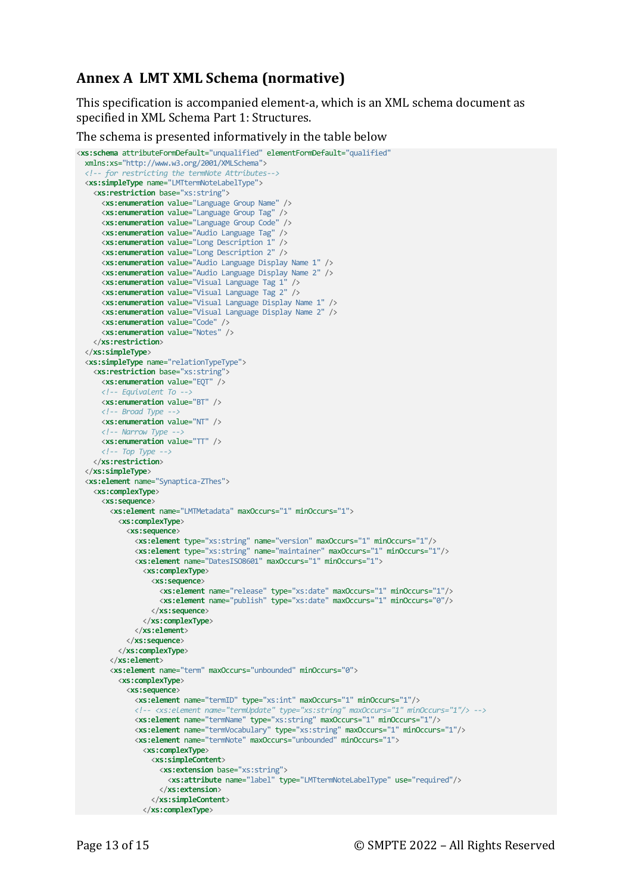## Annex A LMT XML Schema (normative)

This specification is accompanied element-a, which is an XML schema document as specified in XML Schema Part 1: Structures.

The schema is presented informatively in the table below

```
<xs:schema attributeFormDefault="unqualified" elementFormDefault="qualified"
  xmlns:xs="http://www.w3.org/2001/XMLSchema">
  <!-- for restricting the termNote Attributes-->
  <xs:simpleType name="LMTtermNoteLabelType">
    <xs:restriction base="xs:string">
       <xs:enumeration value="Language Group Name" />
       <xs:enumeration value="Language Group Tag" />
       <xs:enumeration value="Language Group Code" />
      <xs:enumeration value="Audio Language Tag" />
      <xs:enumeration value="Long Description 1" />
       <xs:enumeration value="Long Description 2" />
       <xs:enumeration value="Audio Language Display Name 1" />
       <xs:enumeration value="Audio Language Display Name 2" />
       <xs:enumeration value="Visual Language Tag 1" />
      <xs:enumeration value="Visual Language Tag 2" />
      <xs:enumeration value="Visual Language Display Name 1" />
      <xs:enumeration value="Visual Language Display Name 2" />
      <xs:enumeration value="Code" />
       <xs:enumeration value="Notes" />
    </xs:restriction>
  </xs:simpleType>
  <xs:simpleType name="relationTypeType">
    <xs:restriction base="xs:string">
      <xs:enumeration value="EQT" />
      \langle -- Faujvalent To --
      <xs:enumeration value="BT" />
     \langle!-- Broad Type -->
      <xs:enumeration value="NT" />
     \langle !-- Narrow Type -
      <xs:enumeration value="TT" />
      \langle !-- Top Type -->
    </xs:restriction>
  </xs:simpleType>
  <xs:element name="Synaptica-ZThes">
    <xs:complexType>
      <xs:sequence>
         <xs:element name="LMTMetadata" maxOccurs="1" minOccurs="1">
           <xs:complexType>
             <xs:sequence>
               <xs:element type="xs:string" name="version" maxOccurs="1" minOccurs="1"/>
               <xs:element type="xs:string" name="maintainer" maxOccurs="1" minOccurs="1"/>
               <xs:element name="DatesISO8601" maxOccurs="1" minOccurs="1">
                 <xs:complexType>
                   <xs:sequence>
 <xs:element name="release" type="xs:date" maxOccurs="1" minOccurs="1"/>
 <xs:element name="publish" type="xs:date" maxOccurs="1" minOccurs="0"/>
                   </xs:sequence>
                </xs:complexType>
               </xs:element>
             </xs:sequence>
           </xs:complexType>
         </xs:element>
         <xs:element name="term" maxOccurs="unbounded" minOccurs="0">
           <xs:complexType>
             <xs:sequence>
               <xs:element name="termID" type="xs:int" maxOccurs="1" minOccurs="1"/>
               <!-- <xs:element name="termUpdate" type="xs:string" maxOccurs="1" minOccurs="1"/> -->
               <xs:element name="termName" type="xs:string" maxOccurs="1" minOccurs="1"/>
               <xs:element name="termVocabulary" type="xs:string" maxOccurs="1" minOccurs="1"/>
               <xs:element name="termNote" maxOccurs="unbounded" minOccurs="1">
                 <xs:complexType>
                   <xs:simpleContent>
                     <xs:extension base="xs:string">
                       <xs:attribute name="label" type="LMTtermNoteLabelType" use="required"/>
                     </xs:extension>
                   </xs:simpleContent>
                 </xs:complexType>
```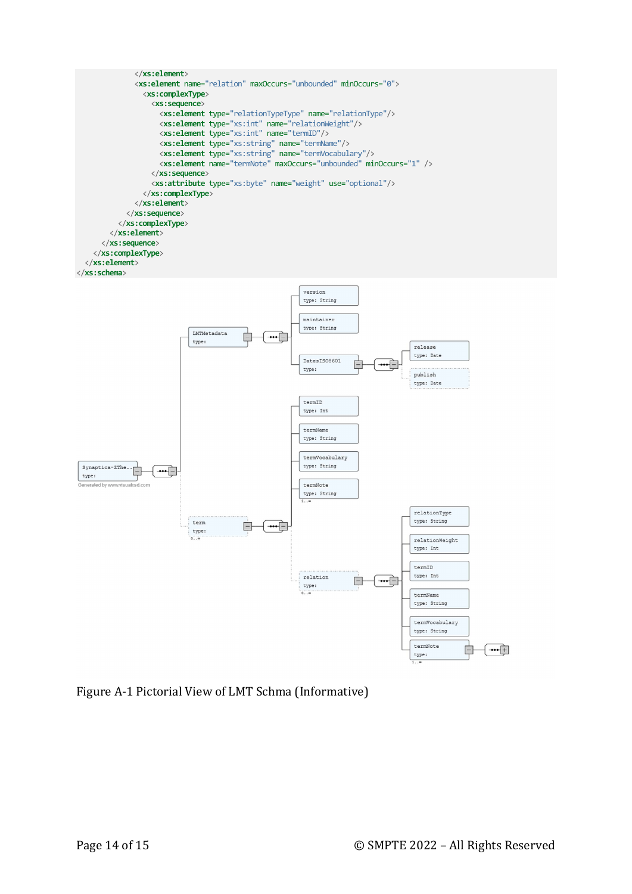

Figure A-1 Pictorial View of LMT Schma (Informative)